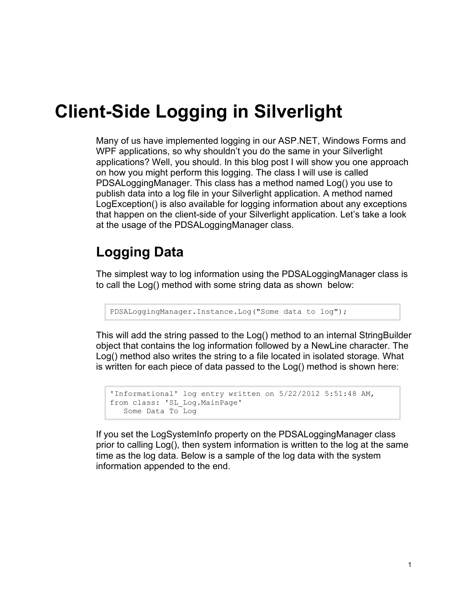## **Client-Side Logging in Silverlight**

Many of us have implemented logging in our ASP.NET, Windows Forms and WPF applications, so why shouldn't you do the same in your Silverlight applications? Well, you should. In this blog post I will show you one approach on how you might perform this logging. The class I will use is called PDSALoggingManager. This class has a method named Log() you use to publish data into a log file in your Silverlight application. A method named LogException() is also available for logging information about any exceptions that happen on the client-side of your Silverlight application. Let's take a look at the usage of the PDSALoggingManager class.

## **Logging Data**

The simplest way to log information using the PDSALoggingManager class is to call the Log() method with some string data as shown below:

```
PDSALoggingManager.Instance.Log("Some data to log");
```
This will add the string passed to the Log() method to an internal StringBuilder object that contains the log information followed by a NewLine character. The Log() method also writes the string to a file located in isolated storage. What is written for each piece of data passed to the Log() method is shown here:

```
'Informational' log entry written on 5/22/2012 5:51:48 AM, 
from class: 'SL_Log.MainPage'
   Some Data To Log
```
If you set the LogSystemInfo property on the PDSALoggingManager class prior to calling Log(), then system information is written to the log at the same time as the log data. Below is a sample of the log data with the system information appended to the end.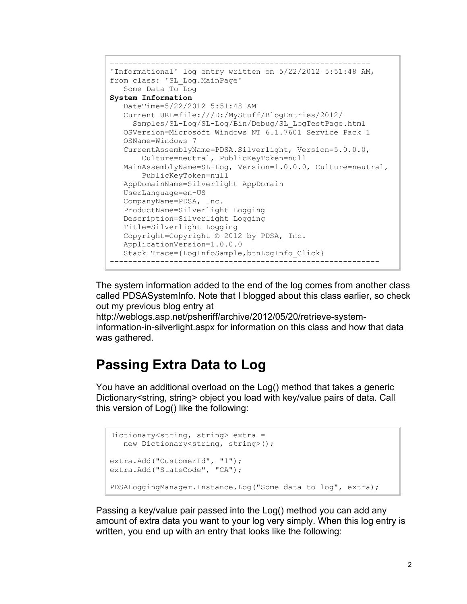```
---------------------------------------------------------
'Informational' log entry written on 5/22/2012 5:51:48 AM, 
from class: 'SL_Log.MainPage'
   Some Data To Log
System Information
   DateTime=5/22/2012 5:51:48 AM
    Current URL=file:///D:/MyStuff/BlogEntries/2012/
      Samples/SL-Log/SL-Log/Bin/Debug/SL_LogTestPage.html
    OSVersion=Microsoft Windows NT 6.1.7601 Service Pack 1
    OSName=Windows 7
    CurrentAssemblyName=PDSA.Silverlight, Version=5.0.0.0,
        Culture=neutral, PublicKeyToken=null
   MainAssemblyName=SL-Log, Version=1.0.0.0, Culture=neutral,
        PublicKeyToken=null
    AppDomainName=Silverlight AppDomain
    UserLanguage=en-US
    CompanyName=PDSA, Inc.
    ProductName=Silverlight Logging
    Description=Silverlight Logging
    Title=Silverlight Logging
    Copyright=Copyright © 2012 by PDSA, Inc.
    ApplicationVersion=1.0.0.0
    Stack Trace={LogInfoSample,btnLogInfo_Click}
-----------------------------------------------------------
```
The system information added to the end of the log comes from another class called PDSASystemInfo. Note that I blogged about this class earlier, so check out my previous blog entry at

http://weblogs.asp.net/psheriff/archive/2012/05/20/retrieve-systeminformation-in-silverlight.aspx for information on this class and how that data was gathered.

### **Passing Extra Data to Log**

You have an additional overload on the Log() method that takes a generic Dictionary<string, string> object you load with key/value pairs of data. Call this version of Log() like the following:

```
Dictionary<string, string> extra = 
   new Dictionary<string, string>();
extra.Add("CustomerId", "1");
extra.Add("StateCode", "CA");
PDSALoggingManager.Instance.Log("Some data to log", extra);
```
Passing a key/value pair passed into the Log() method you can add any amount of extra data you want to your log very simply. When this log entry is written, you end up with an entry that looks like the following: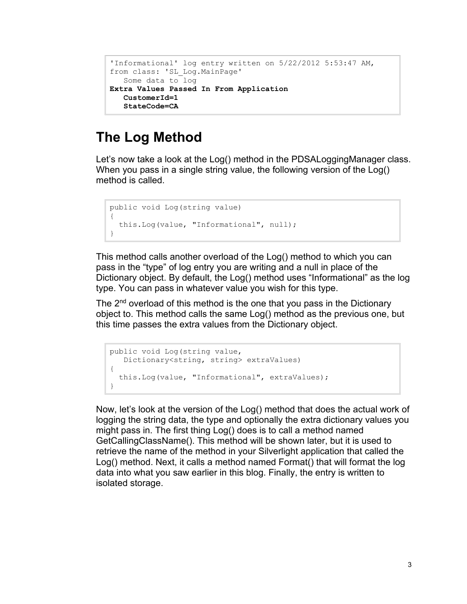```
'Informational' log entry written on 5/22/2012 5:53:47 AM, 
from class: 'SL_Log.MainPage'
    Some data to log
Extra Values Passed In From Application
   CustomerId=1
    StateCode=CA
```
#### **The Log Method**

Let's now take a look at the Log() method in the PDSALoggingManager class. When you pass in a single string value, the following version of the Log() method is called.

```
public void Log(string value)
{
   this.Log(value, "Informational", null);
}
```
This method calls another overload of the Log() method to which you can pass in the "type" of log entry you are writing and a null in place of the Dictionary object. By default, the Log() method uses "Informational" as the log type. You can pass in whatever value you wish for this type.

The 2<sup>nd</sup> overload of this method is the one that you pass in the Dictionary object to. This method calls the same Log() method as the previous one, but this time passes the extra values from the Dictionary object.

```
public void Log(string value,
   Dictionary<string, string> extraValues)
{
  this.Log(value, "Informational", extraValues);
}
```
Now, let's look at the version of the Log() method that does the actual work of logging the string data, the type and optionally the extra dictionary values you might pass in. The first thing Log() does is to call a method named GetCallingClassName(). This method will be shown later, but it is used to retrieve the name of the method in your Silverlight application that called the Log() method. Next, it calls a method named Format() that will format the log data into what you saw earlier in this blog. Finally, the entry is written to isolated storage.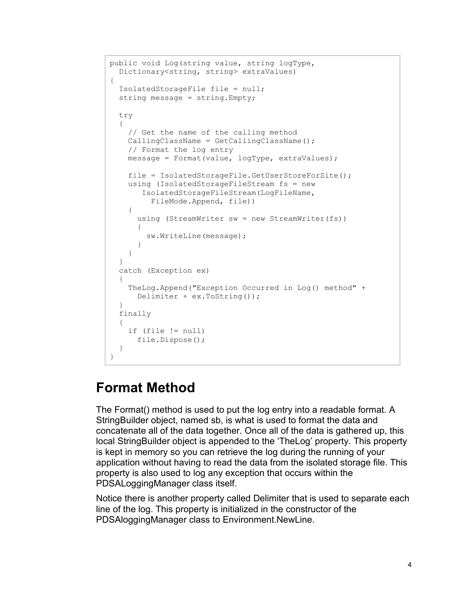```
public void Log(string value, string logType,
  Dictionary<string, string> extraValues)
{
  IsolatedStorageFile file = null;
   string message = string.Empty;
  try
   {
    // Get the name of the calling method
    CallingClassName = GetCallingClassName();
    // Format the log entry
    message = Format(value, logType, extraValues);
     file = IsolatedStorageFile.GetUserStoreForSite();
     using (IsolatedStorageFileStream fs = new 
        IsolatedStorageFileStream(LogFileName, 
          FileMode.Append, file))
     {
       using (StreamWriter sw = new StreamWriter(fs))
 {
         sw.WriteLine(message);
 }
     }
   }
   catch (Exception ex)
   {
     TheLog.Append("Exception Occurred in Log() method" +
       Delimiter + ex.ToString());
   }
   finally
   {
     if (file != null)
      file.Dispose();
   }
}
```
#### **Format Method**

The Format() method is used to put the log entry into a readable format. A StringBuilder object, named sb, is what is used to format the data and concatenate all of the data together. Once all of the data is gathered up, this local StringBuilder object is appended to the 'TheLog' property. This property is kept in memory so you can retrieve the log during the running of your application without having to read the data from the isolated storage file. This property is also used to log any exception that occurs within the PDSALoggingManager class itself.

Notice there is another property called Delimiter that is used to separate each line of the log. This property is initialized in the constructor of the PDSAloggingManager class to Environment.NewLine.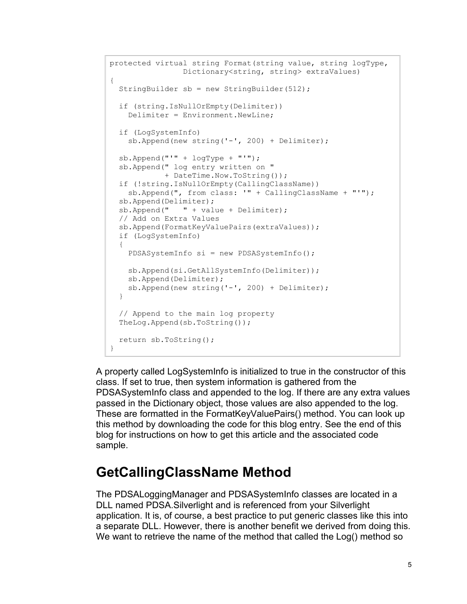```
protected virtual string Format(string value, string logType,
                 Dictionary<string, string> extraValues)
{
  StringBuilder sb = new StringBuilder(512);
   if (string.IsNullOrEmpty(Delimiter))
    Delimiter = Environment.NewLine;
  if (LogSystemInfo)
     sb.Append(new string('-', 200) + Delimiter);
 sb.Append("'" + logType + "'');
   sb.Append(" log entry written on " 
             + DateTime.Now.ToString());
  if (!string.IsNullOrEmpty(CallingClassName))
    sb.Append(", from class: '" + CallingClassName + "'");
  sb.Append(Delimiter);
  sb.Append(" " + value + Delimiter);
  // Add on Extra Values
  sb.Append(FormatKeyValuePairs(extraValues));
  if (LogSystemInfo)
   {
     PDSASystemInfo si = new PDSASystemInfo();
     sb.Append(si.GetAllSystemInfo(Delimiter));
     sb.Append(Delimiter);
     sb.Append(new string('-', 200) + Delimiter);
  }
  // Append to the main log property
  TheLog.Append(sb.ToString());
  return sb.ToString();
}
```
A property called LogSystemInfo is initialized to true in the constructor of this class. If set to true, then system information is gathered from the PDSASystemInfo class and appended to the log. If there are any extra values passed in the Dictionary object, those values are also appended to the log. These are formatted in the FormatKeyValuePairs() method. You can look up this method by downloading the code for this blog entry. See the end of this blog for instructions on how to get this article and the associated code sample.

#### **GetCallingClassName Method**

The PDSALoggingManager and PDSASystemInfo classes are located in a DLL named PDSA.Silverlight and is referenced from your Silverlight application. It is, of course, a best practice to put generic classes like this into a separate DLL. However, there is another benefit we derived from doing this. We want to retrieve the name of the method that called the Log() method so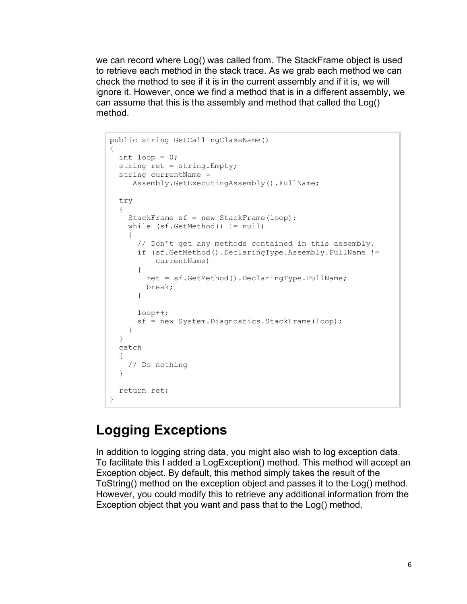we can record where Log() was called from. The StackFrame object is used to retrieve each method in the stack trace. As we grab each method we can check the method to see if it is in the current assembly and if it is, we will ignore it. However, once we find a method that is in a different assembly, we can assume that this is the assembly and method that called the Log() method.

```
public string GetCallingClassName()
{
  int loop = 0;
  string ret = string.Empty;
  string currentName = 
     Assembly.GetExecutingAssembly().FullName;
  try
   {
    StackFrame sf = new StackFrame(loop);
    while (sf.GetMethod() != null)
\{ // Don't get any methods contained in this assembly.
       if (sf.GetMethod().DeclaringType.Assembly.FullName != 
           currentName)
 {
         ret = sf.GetMethod().DeclaringType.FullName;
         break;
       }
     loop++; sf = new System.Diagnostics.StackFrame(loop);
    }
   }
  catch
   {
     // Do nothing
   }
  return ret;
}
```
#### **Logging Exceptions**

In addition to logging string data, you might also wish to log exception data. To facilitate this I added a LogException() method. This method will accept an Exception object. By default, this method simply takes the result of the ToString() method on the exception object and passes it to the Log() method. However, you could modify this to retrieve any additional information from the Exception object that you want and pass that to the Log() method.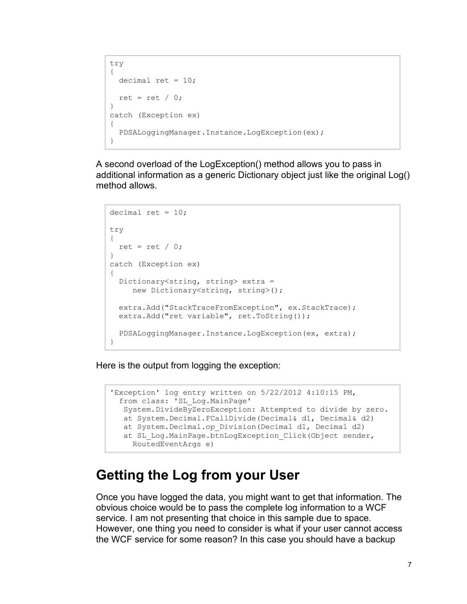```
try
{
 decimal ret = 10;
 ret = ret / 0;
}
catch (Exception ex)
{
   PDSALoggingManager.Instance.LogException(ex);
}
```
A second overload of the LogException() method allows you to pass in additional information as a generic Dictionary object just like the original Log() method allows.

```
decimal ret = 10:
try
{
 ret = ret / 0;
}
catch (Exception ex)
{
  Dictionary<string, string> extra = 
     new Dictionary<string, string>();
 extra.Add("StackTraceFromException", ex.StackTrace);
 extra.Add("ret variable", ret.ToString());
  PDSALoggingManager.Instance.LogException(ex, extra);
}
```
Here is the output from logging the exception:

```
'Exception' log entry written on 5/22/2012 4:10:15 PM, 
  from class: 'SL_Log.MainPage'
   System.DivideByZeroException: Attempted to divide by zero.
   at System.Decimal.FCallDivide(Decimal& d1, Decimal& d2)
  at System. Decimal.op Division(Decimal d1, Decimal d2)
  at SL Log.MainPage.btnLogException Click(Object sender,
     RoutedEventArgs e)
```
#### **Getting the Log from your User**

Once you have logged the data, you might want to get that information. The obvious choice would be to pass the complete log information to a WCF service. I am not presenting that choice in this sample due to space. However, one thing you need to consider is what if your user cannot access the WCF service for some reason? In this case you should have a backup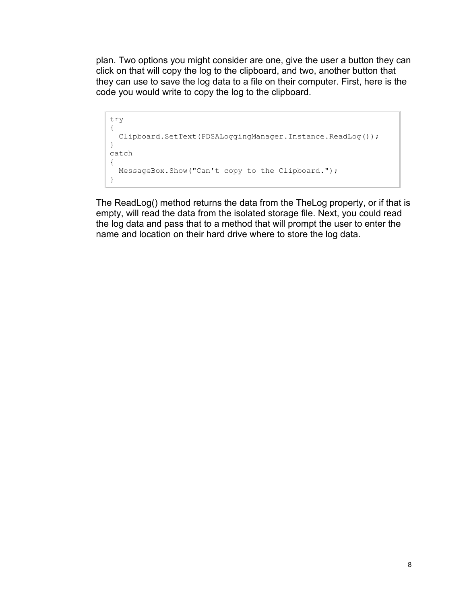plan. Two options you might consider are one, give the user a button they can click on that will copy the log to the clipboard, and two, another button that they can use to save the log data to a file on their computer. First, here is the code you would write to copy the log to the clipboard.

```
try
{
  Clipboard.SetText(PDSALoggingManager.Instance.ReadLog());
}
catch
{
  MessageBox.Show("Can't copy to the Clipboard.");
}
```
The ReadLog() method returns the data from the TheLog property, or if that is empty, will read the data from the isolated storage file. Next, you could read the log data and pass that to a method that will prompt the user to enter the name and location on their hard drive where to store the log data.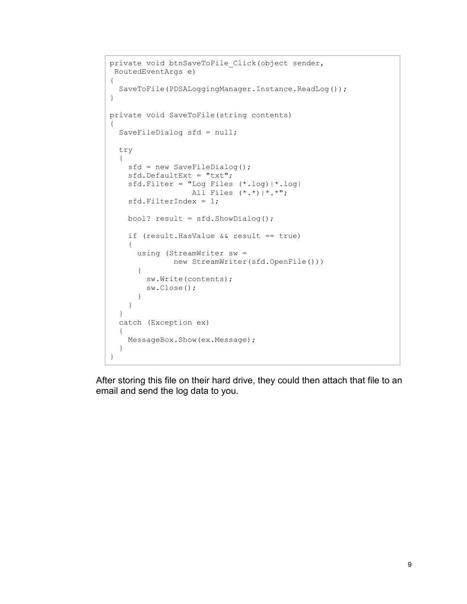```
private void btnSaveToFile Click(object sender,
RoutedEventArgs e)
{
   SaveToFile(PDSALoggingManager.Instance.ReadLog());
}
private void SaveToFile(string contents)
{
   SaveFileDialog sfd = null;
   try
   {
     sfd = new SaveFileDialog();
     sfd.DefaultExt = "txt";
     sfd.Filter = "Log Files (*.log)|*.log|
                   All Files (*.*)|*.*";
     sfd.FilterIndex = 1;
     bool? result = sfd.ShowDialog();
     if (result.HasValue && result == true)
     {
       using (StreamWriter sw = 
               new StreamWriter(sfd.OpenFile()))
       {
         sw.Write(contents);
         sw.Close();
       }
     }
   }
   catch (Exception ex)
   {
    MessageBox.Show(ex.Message);
   }
}
```
After storing this file on their hard drive, they could then attach that file to an email and send the log data to you.